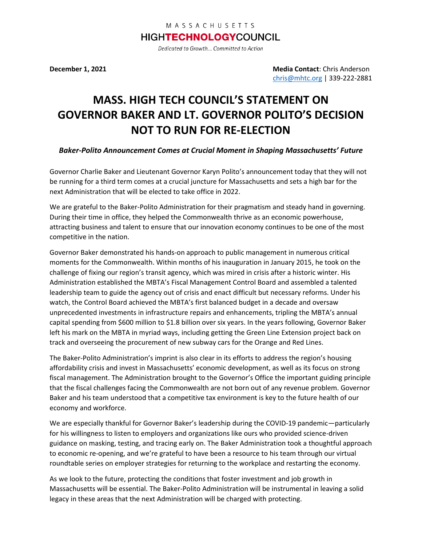**December 1, 2021 Media Contact**: Chris Anderson [chris@mhtc.org](mailto:chris@mhtc.org) | 339-222-2881

## **MASS. HIGH TECH COUNCIL'S STATEMENT ON GOVERNOR BAKER AND LT. GOVERNOR POLITO'S DECISION NOT TO RUN FOR RE-ELECTION**

## *Baker-Polito Announcement Comes at Crucial Moment in Shaping Massachusetts' Future*

Governor Charlie Baker and Lieutenant Governor Karyn Polito's announcement today that they will not be running for a third term comes at a crucial juncture for Massachusetts and sets a high bar for the next Administration that will be elected to take office in 2022.

We are grateful to the Baker-Polito Administration for their pragmatism and steady hand in governing. During their time in office, they helped the Commonwealth thrive as an economic powerhouse, attracting business and talent to ensure that our innovation economy continues to be one of the most competitive in the nation.

Governor Baker demonstrated his hands-on approach to public management in numerous critical moments for the Commonwealth. Within months of his inauguration in January 2015, he took on the challenge of fixing our region's transit agency, which was mired in crisis after a historic winter. His Administration established the MBTA's Fiscal Management Control Board and assembled a talented leadership team to guide the agency out of crisis and enact difficult but necessary reforms. Under his watch, the Control Board achieved the MBTA's first balanced budget in a decade and oversaw unprecedented investments in infrastructure repairs and enhancements, tripling the MBTA's annual capital spending from \$600 million to \$1.8 billion over six years. In the years following, Governor Baker left his mark on the MBTA in myriad ways, including getting the Green Line Extension project back on track and overseeing the procurement of new subway cars for the Orange and Red Lines.

The Baker-Polito Administration's imprint is also clear in its efforts to address the region's housing affordability crisis and invest in Massachusetts' economic development, as well as its focus on strong fiscal management. The Administration brought to the Governor's Office the important guiding principle that the fiscal challenges facing the Commonwealth are not born out of any revenue problem. Governor Baker and his team understood that a competitive tax environment is key to the future health of our economy and workforce.

We are especially thankful for Governor Baker's leadership during the COVID-19 pandemic—particularly for his willingness to listen to employers and organizations like ours who provided science-driven guidance on masking, testing, and tracing early on. The Baker Administration took a thoughtful approach to economic re-opening, and we're grateful to have been a resource to his team through our virtual roundtable series on employer strategies for returning to the workplace and restarting the economy.

As we look to the future, protecting the conditions that foster investment and job growth in Massachusetts will be essential. The Baker-Polito Administration will be instrumental in leaving a solid legacy in these areas that the next Administration will be charged with protecting.